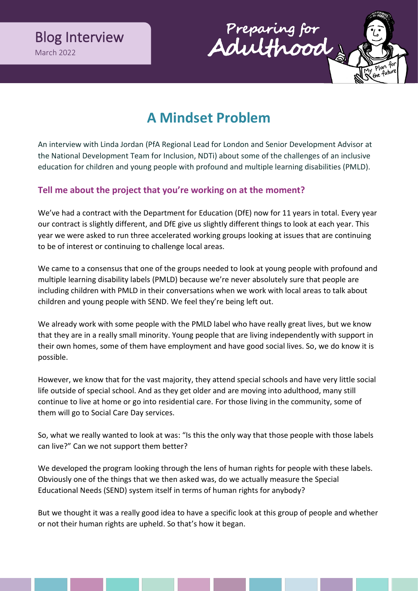



# **A Mindset Problem**

An interview with Linda Jordan (PfA Regional Lead for London and Senior Development Advisor at the National Development Team for Inclusion, NDTi) about some of the challenges of an inclusive education for children and young people with profound and multiple learning disabilities (PMLD).

## **Tell me about the project that you're working on at the moment?**

We've had a contract with the Department for Education (DfE) now for 11 years in total. Every year our contract is slightly different, and DfE give us slightly different things to look at each year. This year we were asked to run three accelerated working groups looking at issues that are continuing to be of interest or continuing to challenge local areas.

We came to a consensus that one of the groups needed to look at young people with profound and multiple learning disability labels (PMLD) because we're never absolutely sure that people are including children with PMLD in their conversations when we work with local areas to talk about children and young people with SEND. We feel they're being left out.

We already work with some people with the PMLD label who have really great lives, but we know that they are in a really small minority. Young people that are living independently with support in their own homes, some of them have employment and have good social lives. So, we do know it is possible.

However, we know that for the vast majority, they attend special schools and have very little social life outside of special school. And as they get older and are moving into adulthood, many still continue to live at home or go into residential care. For those living in the community, some of them will go to Social Care Day services.

So, what we really wanted to look at was: "Is this the only way that those people with those labels can live?" Can we not support them better?

We developed the program looking through the lens of human rights for people with these labels. Obviously one of the things that we then asked was, do we actually measure the Special Educational Needs (SEND) system itself in terms of human rights for anybody?

But we thought it was a really good idea to have a specific look at this group of people and whether or not their human rights are upheld. So that's how it began.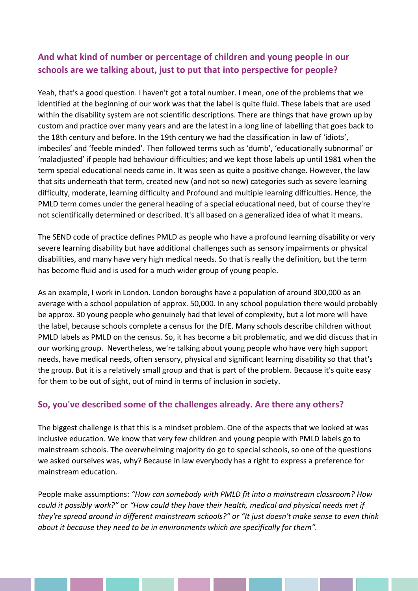# **And what kind of number or percentage of children and young people in our schools are we talking about, just to put that into perspective for people?**

Yeah, that's a good question. I haven't got a total number. I mean, one of the problems that we identified at the beginning of our work was that the label is quite fluid. These labels that are used within the disability system are not scientific descriptions. There are things that have grown up by custom and practice over many years and are the latest in a long line of labelling that goes back to the 18th century and before. In the 19th century we had the classification in law of 'idiots', imbeciles' and 'feeble minded'. Then followed terms such as 'dumb', 'educationally subnormal' or 'maladjusted' if people had behaviour difficulties; and we kept those labels up until 1981 when the term special educational needs came in. It was seen as quite a positive change. However, the law that sits underneath that term, created new (and not so new) categories such as severe learning difficulty, moderate, learning difficulty and Profound and multiple learning difficulties. Hence, the PMLD term comes under the general heading of a special educational need, but of course they're not scientifically determined or described. It's all based on a generalized idea of what it means.

The SEND code of practice defines PMLD as people who have a profound learning disability or very severe learning disability but have additional challenges such as sensory impairments or physical disabilities, and many have very high medical needs. So that is really the definition, but the term has become fluid and is used for a much wider group of young people.

As an example, I work in London. London boroughs have a population of around 300,000 as an average with a school population of approx. 50,000. In any school population there would probably be approx. 30 young people who genuinely had that level of complexity, but a lot more will have the label, because schools complete a census for the DfE. Many schools describe children without PMLD labels as PMLD on the census. So, it has become a bit problematic, and we did discuss that in our working group. Nevertheless, we're talking about young people who have very high support needs, have medical needs, often sensory, physical and significant learning disability so that that's the group. But it is a relatively small group and that is part of the problem. Because it's quite easy for them to be out of sight, out of mind in terms of inclusion in society.

### **So, you've described some of the challenges already. Are there any others?**

The biggest challenge is that this is a mindset problem. One of the aspects that we looked at was inclusive education. We know that very few children and young people with PMLD labels go to mainstream schools. The overwhelming majority do go to special schools, so one of the questions we asked ourselves was, why? Because in law everybody has a right to express a preference for mainstream education.

People make assumptions: *"How can somebody with PMLD fit into a mainstream classroom? How could it possibly work?"* or *"How could they have their health, medical and physical needs met if they're spread around in different mainstream schools?" or "It just doesn't make sense to even think about it because they need to be in environments which are specifically for them".*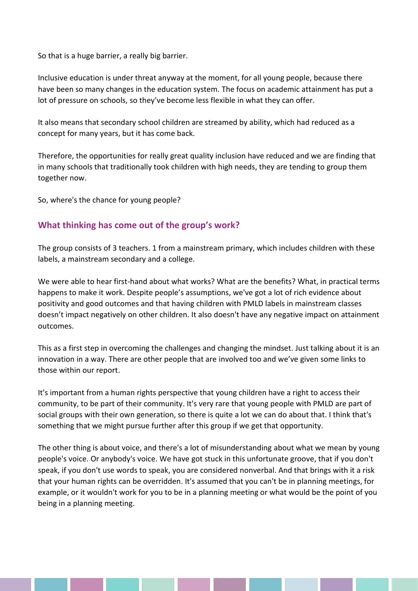So that is a huge barrier, a really big barrier.

Inclusive education is under threat anyway at the moment, for all young people, because there have been so many changes in the education system. The focus on academic attainment has put a lot of pressure on schools, so they've become less flexible in what they can offer.

It also means that secondary school children are streamed by ability, which had reduced as a concept for many years, but it has come back.

Therefore, the opportunities for really great quality inclusion have reduced and we are finding that in many schools that traditionally took children with high needs, they are tending to group them together now.

So, where's the chance for young people?

#### **What thinking has come out of the group's work?**

The group consists of 3 teachers. 1 from a mainstream primary, which includes children with these labels, a mainstream secondary and a college.

We were able to hear first-hand about what works? What are the benefits? What, in practical terms happens to make it work. Despite people's assumptions, we've got a lot of rich evidence about positivity and good outcomes and that having children with PMLD labels in mainstream classes doesn't impact negatively on other children. It also doesn't have any negative impact on attainment outcomes.

This as a first step in overcoming the challenges and changing the mindset. Just talking about it is an innovation in a way. There are other people that are involved too and we've given some links to those within our report.

It's important from a human rights perspective that young children have a right to access their community, to be part of their community. It's very rare that young people with PMLD are part of social groups with their own generation, so there is quite a lot we can do about that. I think that's something that we might pursue further after this group if we get that opportunity.

The other thing is about voice, and there's a lot of misunderstanding about what we mean by young people's voice. Or anybody's voice. We have got stuck in this unfortunate groove, that if you don't speak, if you don't use words to speak, you are considered nonverbal. And that brings with it a risk that your human rights can be overridden. It's assumed that you can't be in planning meetings, for example, or it wouldn't work for you to be in a planning meeting or what would be the point of you being in a planning meeting.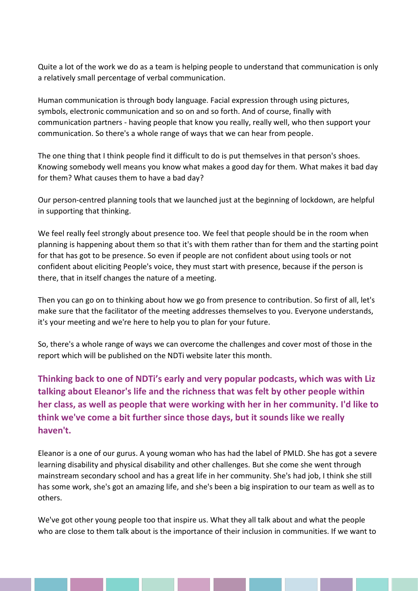Quite a lot of the work we do as a team is helping people to understand that communication is only a relatively small percentage of verbal communication.

Human communication is through body language. Facial expression through using pictures, symbols, electronic communication and so on and so forth. And of course, finally with communication partners - having people that know you really, really well, who then support your communication. So there's a whole range of ways that we can hear from people.

The one thing that I think people find it difficult to do is put themselves in that person's shoes. Knowing somebody well means you know what makes a good day for them. What makes it bad day for them? What causes them to have a bad day?

Our person-centred planning tools that we launched just at the beginning of lockdown, are helpful in supporting that thinking.

We feel really feel strongly about presence too. We feel that people should be in the room when planning is happening about them so that it's with them rather than for them and the starting point for that has got to be presence. So even if people are not confident about using tools or not confident about eliciting People's voice, they must start with presence, because if the person is there, that in itself changes the nature of a meeting.

Then you can go on to thinking about how we go from presence to contribution. So first of all, let's make sure that the facilitator of the meeting addresses themselves to you. Everyone understands, it's your meeting and we're here to help you to plan for your future.

So, there's a whole range of ways we can overcome the challenges and cover most of those in the report which will be published on the NDTi website later this month.

**Thinking back to one of NDTi's early and very popular podcasts, which was with Liz talking about Eleanor's life and the richness that was felt by other people within her class, as well as people that were working with her in her community. I'd like to think we've come a bit further since those days, but it sounds like we really haven't.**

Eleanor is a one of our gurus. A young woman who has had the label of PMLD. She has got a severe learning disability and physical disability and other challenges. But she come she went through mainstream secondary school and has a great life in her community. She's had job, I think she still has some work, she's got an amazing life, and she's been a big inspiration to our team as well as to others.

We've got other young people too that inspire us. What they all talk about and what the people who are close to them talk about is the importance of their inclusion in communities. If we want to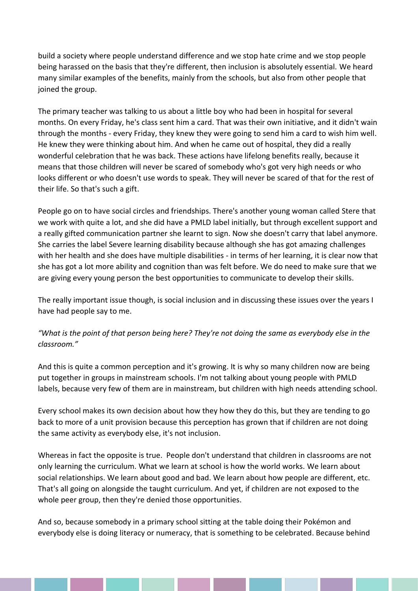build a society where people understand difference and we stop hate crime and we stop people being harassed on the basis that they're different, then inclusion is absolutely essential. We heard many similar examples of the benefits, mainly from the schools, but also from other people that joined the group.

The primary teacher was talking to us about a little boy who had been in hospital for several months. On every Friday, he's class sent him a card. That was their own initiative, and it didn't wain through the months - every Friday, they knew they were going to send him a card to wish him well. He knew they were thinking about him. And when he came out of hospital, they did a really wonderful celebration that he was back. These actions have lifelong benefits really, because it means that those children will never be scared of somebody who's got very high needs or who looks different or who doesn't use words to speak. They will never be scared of that for the rest of their life. So that's such a gift.

People go on to have social circles and friendships. There's another young woman called Stere that we work with quite a lot, and she did have a PMLD label initially, but through excellent support and a really gifted communication partner she learnt to sign. Now she doesn't carry that label anymore. She carries the label Severe learning disability because although she has got amazing challenges with her health and she does have multiple disabilities - in terms of her learning, it is clear now that she has got a lot more ability and cognition than was felt before. We do need to make sure that we are giving every young person the best opportunities to communicate to develop their skills.

The really important issue though, is social inclusion and in discussing these issues over the years I have had people say to me.

*"What is the point of that person being here? They're not doing the same as everybody else in the classroom."*

And this is quite a common perception and it's growing. It is why so many children now are being put together in groups in mainstream schools. I'm not talking about young people with PMLD labels, because very few of them are in mainstream, but children with high needs attending school.

Every school makes its own decision about how they how they do this, but they are tending to go back to more of a unit provision because this perception has grown that if children are not doing the same activity as everybody else, it's not inclusion.

Whereas in fact the opposite is true. People don't understand that children in classrooms are not only learning the curriculum. What we learn at school is how the world works. We learn about social relationships. We learn about good and bad. We learn about how people are different, etc. That's all going on alongside the taught curriculum. And yet, if children are not exposed to the whole peer group, then they're denied those opportunities.

And so, because somebody in a primary school sitting at the table doing their Pokémon and everybody else is doing literacy or numeracy, that is something to be celebrated. Because behind